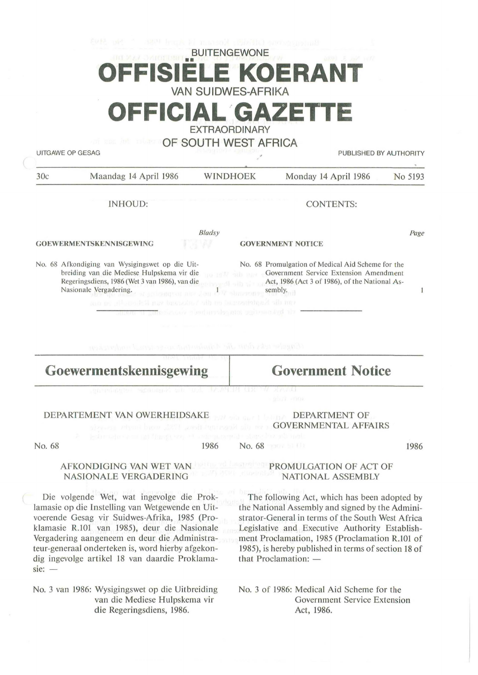| <b>BUITENGEWONE</b>                                                                                                   |  |  |  |  |  |  |
|-----------------------------------------------------------------------------------------------------------------------|--|--|--|--|--|--|
| <b>OFFISIELE KOERANT</b>                                                                                              |  |  |  |  |  |  |
| <b>VAN SUIDWES-AFRIKA</b>                                                                                             |  |  |  |  |  |  |
| <u> London Maria de la contrada de la contrada de la contrada de la contrada de la contrada de la contrada de la </u> |  |  |  |  |  |  |

**OFFICIAL GAZET** 

EXTRAORDINARY

OF SOUTH WEST AFRICA

UITGAWE OP GESAG PUBLISHED BY AUTHORITY

| 30c                     | Maandag 14 April 1986                                                                                                                                                                                                                                                                         | WINDHOEK        |                          | Monday 14 April 1986                                                                                                                                     | No 5193 |
|-------------------------|-----------------------------------------------------------------------------------------------------------------------------------------------------------------------------------------------------------------------------------------------------------------------------------------------|-----------------|--------------------------|----------------------------------------------------------------------------------------------------------------------------------------------------------|---------|
|                         | INHOUD:                                                                                                                                                                                                                                                                                       |                 | <b>CONTENTS:</b>         |                                                                                                                                                          |         |
|                         | <b>GOEWERMENTSKENNISGEWING</b>                                                                                                                                                                                                                                                                | Bladsy<br>maw   |                          | <b>GOVERNMENT NOTICE</b>                                                                                                                                 | Page    |
|                         | No. 68 Afkondiging van Wysigingswet op die Uit-<br>breiding van die Mediese Hulpskema vir die<br>Regeringsdiens, 1986 (Wet 3 van 1986), van die<br>Nasionale Vergadering. The anticometer and a country of the absolution<br>can no allowed it may based to the try be receiving it will mer- | ma no M sub mos |                          | No. 68 Promulgation of Medical Aid Scheme for the<br>Government Service Extension Amendment<br>Act, 1986 (Act 3 of 1986), of the National As-<br>sembly. |         |
|                         | area a impressão se a podemada uma agregação da<br>Consider tells dent die Administration- er tetad vonderteken                                                                                                                                                                               |                 |                          |                                                                                                                                                          |         |
| Goewermentskennisgewing |                                                                                                                                                                                                                                                                                               |                 | <b>Government Notice</b> |                                                                                                                                                          |         |
|                         |                                                                                                                                                                                                                                                                                               |                 |                          |                                                                                                                                                          |         |

### DEPARTEMENT VAN OWERHEIDSAKE

No. 68

1986 No. 68

1986

### AFKONDIGING VAN WET VAN NASIONALE VERGADERING

Die volgende Wet, wat ingevolge die Proklamasie op die lnstelling van Wetgewende en Uitvoerende Gesag vir Suidwes-Afrika, 1985 (Proklamasie R.101 van 1985), deur die Nasionale Vergadering aangeneem en deur die Administrateur-generaal onderteken is, word hierby afgekondig ingevolge artikel 18 van daardie Proklama $sie: -$ 

No. 3 van 1986: Wysigingswet op die Uitbreiding van die Mediese Hulpskema vir die Regeringsdiens, 1986.

### **PROMULGATION OF ACT OF** NATIONAL ASSEMBLY

DEPARTMENT OF GOVERNMENTAL AFFAIRS

The following Act, which has been adopted by the National Assembly and signed by the Administrator-General in terms of the South West Africa Legislative and Executive Authority Establishment Proclamation, 1985 (Proclamation R.101 of 1985), is hereby published in terms of section 18 of that Proclamation:  $-$ 

No. 3 of 1986: Medical Aid Scheme for the Government Service Extension Act, 1986.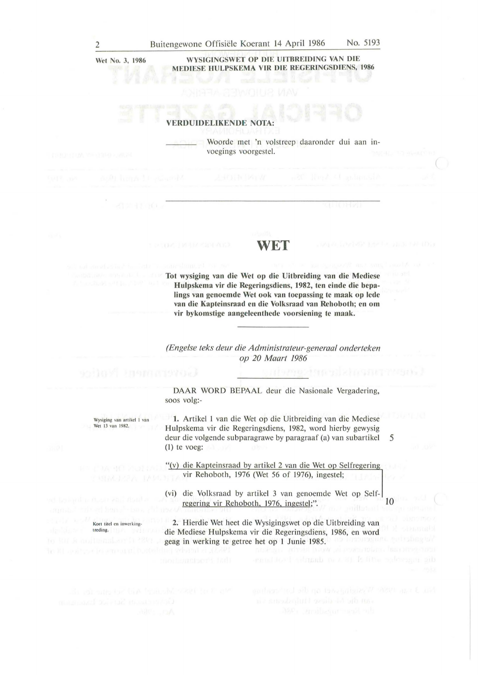Wet No. 3, 1986

**WYSIGINGSWET OP DIE UITBREIDING VAN DIE MEDIESE HULPSKEMA VIR DIE REGERINGSDIENS, 1986** 

### **VERDUIDELIKENDE NOTA:**

Woorde met 'n volstreep daaronder dui aan invoegings voorgestel.

## WET **I**

**Tot wysiging van die Wet op die Uitbreiding van die Mediese Hulpskema vir die Regeringsdiens, 1982, ten einde die bepalings van genoemde Wet ook van toepassing te maak op lede van die Kapteinsraad en die Volksraad van Rehoboth; en om vir bykomstige aangeleenthede voorsiening te maak.** 

*(Engelse teks deur die Administrateur-generaa/ onderteken op 20 Maart 1986* 

**DAAR WORD BEPAAL** deur die Nasionale Vergadering, soos volg:-

1. Artikel 1 van die Wet op die Uitbreiding van die Mediese Hulpskema vir die Regeringsdiens, 1982, word hierby gewysig deur die volgende subparagrawe by paragraaf (a) van subartikel 5 (I) te voeg:

"(v) die Kapteinsraad by artikel 2 van die Wet op Selfregering vir Rehoboth, 1976 (Wet 56 of 1976), ingestel;

(vi) die Volksraad by artikel 3 van genoemde Wet op Selfregering vir Rehoboth, 1976, ingestel;". 10

2. Hierdie Wet heet die Wysigingswet op die Uitbreiding van die Mediese Hulpskema vir die Regeringsdiens, 1986, en word geag in werking te getree het op 1 Junie 1985.

Wysiging van artikel 1 van Wet 13 van 1982.

Kort titel en inwerking

treding.